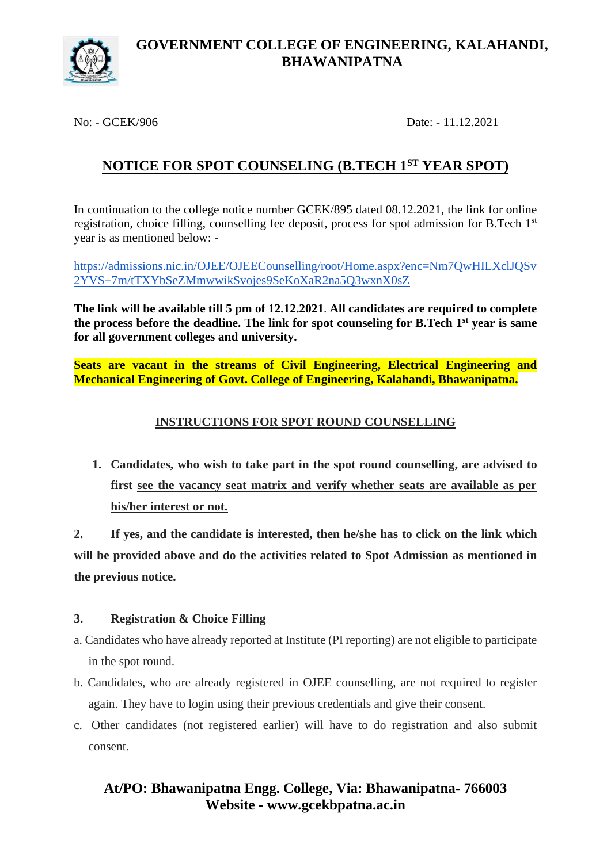

### **GOVERNMENT COLLEGE OF ENGINEERING, KALAHANDI, BHAWANIPATNA**

No: - GCEK/906 Date: - 11.12.2021

# **NOTICE FOR SPOT COUNSELING (B.TECH 1ST YEAR SPOT)**

In continuation to the college notice number GCEK/895 dated 08.12.2021, the link for online registration, choice filling, counselling fee deposit, process for spot admission for B.Tech 1<sup>st</sup> year is as mentioned below: -

[https://admissions.nic.in/OJEE/OJEECounselling/root/Home.aspx?enc=Nm7QwHILXclJQSv](https://admissions.nic.in/OJEE/OJEECounselling/root/Home.aspx?enc=Nm7QwHILXclJQSv2YVS+7m/tTXYbSeZMmwwikSvojes9SeKoXaR2na5Q3wxnX0sZ) [2YVS+7m/tTXYbSeZMmwwikSvojes9SeKoXaR2na5Q3wxnX0sZ](https://admissions.nic.in/OJEE/OJEECounselling/root/Home.aspx?enc=Nm7QwHILXclJQSv2YVS+7m/tTXYbSeZMmwwikSvojes9SeKoXaR2na5Q3wxnX0sZ)

**The link will be available till 5 pm of 12.12.2021**. **All candidates are required to complete the process before the deadline. The link for spot counseling for B.Tech 1st year is same for all government colleges and university.**

**Seats are vacant in the streams of Civil Engineering, Electrical Engineering and Mechanical Engineering of Govt. College of Engineering, Kalahandi, Bhawanipatna.**

#### **INSTRUCTIONS FOR SPOT ROUND COUNSELLING**

**1. Candidates, who wish to take part in the spot round counselling, are advised to first see the vacancy seat matrix and verify whether seats are available as per his/her interest or not.**

**2. If yes, and the candidate is interested, then he/she has to click on the link which will be provided above and do the activities related to Spot Admission as mentioned in the previous notice.**

#### **3. Registration & Choice Filling**

- a. Candidates who have already reported at Institute (PI reporting) are not eligible to participate in the spot round.
- b. Candidates, who are already registered in OJEE counselling, are not required to register again. They have to login using their previous credentials and give their consent.
- c. Other candidates (not registered earlier) will have to do registration and also submit consent.

## **At/PO: Bhawanipatna Engg. College, Via: Bhawanipatna- 766003 Website - www.gcekbpatna.ac.in**